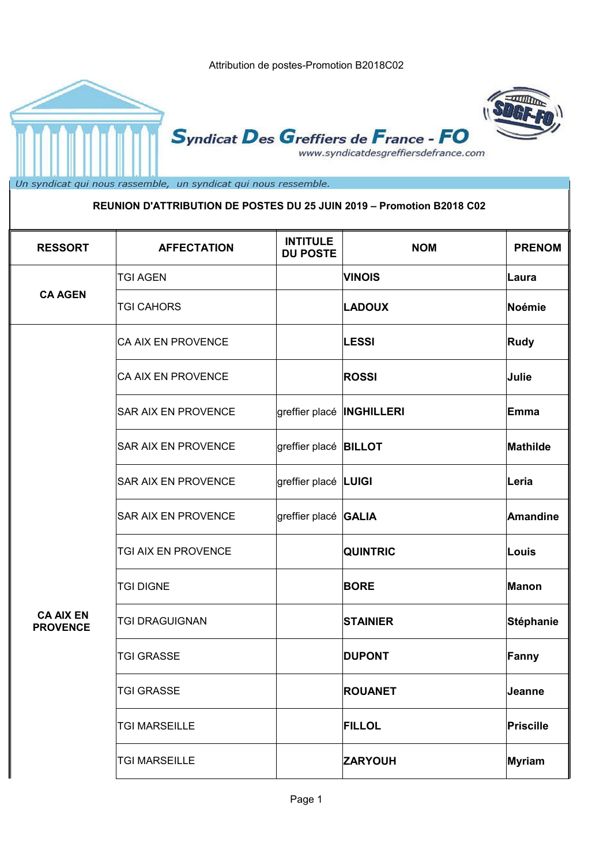





Syndicat Des Greffiers de France - FO www.syndicatdesgreffiersdefrance.com

Un syndicat qui nous rassemble, un syndicat qui nous ressemble.

#### **REUNION D'ATTRIBUTION DE POSTES DU 25 JUIN 2019 – Promotion B2018 C02**

| <b>RESSORT</b>                      | <b>AFFECTATION</b>         | <b>INTITULE</b><br><b>DU POSTE</b> | <b>NOM</b>      | <b>PRENOM</b>    |
|-------------------------------------|----------------------------|------------------------------------|-----------------|------------------|
|                                     | <b>TGI AGEN</b>            |                                    | <b>VINOIS</b>   | ∣Laura           |
| <b>CA AGEN</b>                      | <b>TGI CAHORS</b>          |                                    | <b>LADOUX</b>   | Noémie           |
|                                     | <b>CA AIX EN PROVENCE</b>  |                                    | <b>LESSI</b>    | Rudy             |
|                                     | <b>CA AIX EN PROVENCE</b>  |                                    | <b>ROSSI</b>    | Julie            |
|                                     | SAR AIX EN PROVENCE        | greffier placé  INGHILLERI         |                 | Emma             |
|                                     | <b>SAR AIX EN PROVENCE</b> | greffier placé <b>BILLOT</b>       |                 | Mathilde         |
|                                     | <b>SAR AIX EN PROVENCE</b> | greffier placé LUIGI               |                 | Leria            |
|                                     | <b>SAR AIX EN PROVENCE</b> | greffier placé GALIA               |                 | <b>Amandine</b>  |
|                                     | TGI AIX EN PROVENCE        |                                    | <b>QUINTRIC</b> | Louis            |
|                                     | <b>TGI DIGNE</b>           |                                    | <b>BORE</b>     | Manon            |
| <b>CA AIX EN</b><br><b>PROVENCE</b> | <b>TGI DRAGUIGNAN</b>      |                                    | <b>STAINIER</b> | <b>Stéphanie</b> |
|                                     | <b>TGI GRASSE</b>          |                                    | <b>DUPONT</b>   | Fanny            |
|                                     | TGI GRASSE                 |                                    | <b>ROUANET</b>  | Jeanne           |
|                                     | <b>TGI MARSEILLE</b>       |                                    | <b>FILLOL</b>   | Priscille        |
|                                     | <b>TGI MARSEILLE</b>       |                                    | <b>ZARYOUH</b>  | Myriam           |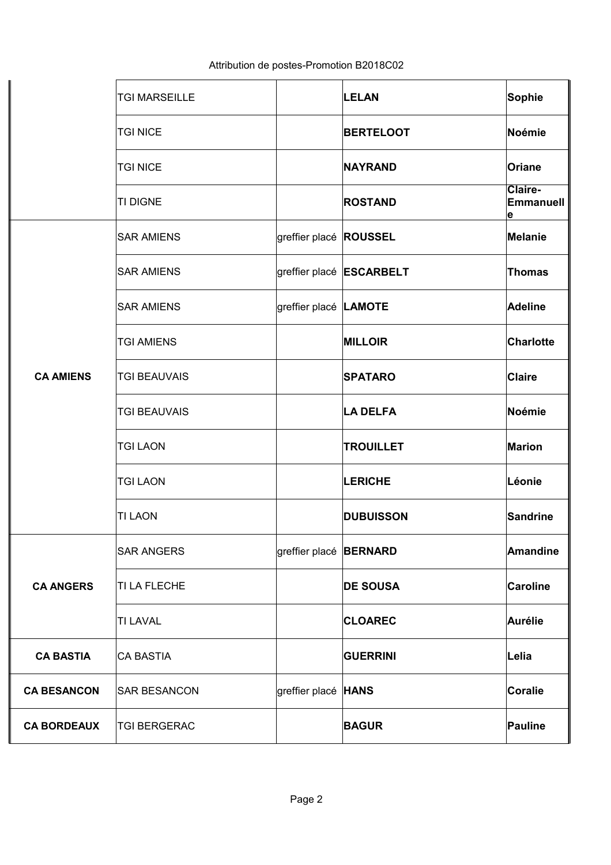|                    | <b>TGI MARSEILLE</b> |                               | <b>LELAN</b>                    | Sophie                     |
|--------------------|----------------------|-------------------------------|---------------------------------|----------------------------|
|                    | <b>TGI NICE</b>      |                               | <b>BERTELOOT</b>                | Noémie                     |
|                    | <b>TGI NICE</b>      |                               | <b>NAYRAND</b>                  | Oriane                     |
|                    | <b>TI DIGNE</b>      |                               | <b>ROSTAND</b>                  | Claire-<br>Emmanuell<br>le |
|                    | <b>SAR AMIENS</b>    | greffier placé <b>ROUSSEL</b> |                                 | Melanie                    |
|                    | <b>SAR AMIENS</b>    |                               | greffier placé <b>ESCARBELT</b> | <b>Thomas</b>              |
|                    | <b>SAR AMIENS</b>    | greffier placé LAMOTE         |                                 | <b>Adeline</b>             |
|                    | <b>TGI AMIENS</b>    |                               | <b>MILLOIR</b>                  | <b>Charlotte</b>           |
| <b>CA AMIENS</b>   | <b>TGI BEAUVAIS</b>  |                               | <b>SPATARO</b>                  | <b>Claire</b>              |
|                    | <b>TGI BEAUVAIS</b>  |                               | <b>LA DELFA</b>                 | Noémie                     |
|                    | <b>TGI LAON</b>      |                               | <b>TROUILLET</b>                | <b>Marion</b>              |
|                    | <b>TGI LAON</b>      |                               | <b>LERICHE</b>                  | Léonie                     |
|                    | <b>TI LAON</b>       |                               | <b>DUBUISSON</b>                | Sandrine                   |
|                    | <b>SAR ANGERS</b>    | greffier placé <b>BERNARD</b> |                                 | Amandine                   |
| <b>CA ANGERS</b>   | TI LA FLECHE         |                               | <b>DE SOUSA</b>                 | <b>Caroline</b>            |
|                    | <b>TI LAVAL</b>      |                               | <b>CLOAREC</b>                  | Aurélie                    |
| <b>CA BASTIA</b>   | <b>CA BASTIA</b>     |                               | <b>GUERRINI</b>                 | Lelia                      |
| <b>CA BESANCON</b> | <b>SAR BESANCON</b>  | greffier placé HANS           |                                 | Coralie                    |
| <b>CA BORDEAUX</b> | <b>TGI BERGERAC</b>  |                               | <b>BAGUR</b>                    | Pauline                    |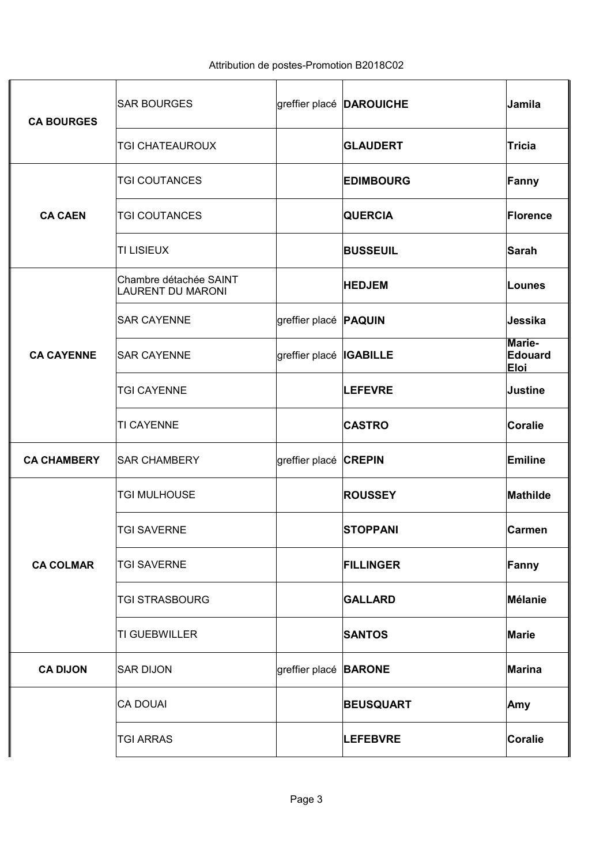| <b>CA BOURGES</b>  | <b>SAR BOURGES</b>                                 |                              | greffier placé <b>DAROUICHE</b> | Jamila                           |
|--------------------|----------------------------------------------------|------------------------------|---------------------------------|----------------------------------|
|                    | <b>TGI CHATEAUROUX</b>                             |                              | <b>GLAUDERT</b>                 | <b>Tricia</b>                    |
|                    | <b>TGI COUTANCES</b>                               |                              | <b>EDIMBOURG</b>                | Fanny                            |
| <b>CA CAEN</b>     | <b>TGI COUTANCES</b>                               |                              | <b>QUERCIA</b>                  | <b>Florence</b>                  |
|                    | <b>TI LISIEUX</b>                                  |                              | <b>BUSSEUIL</b>                 | Sarah                            |
|                    | Chambre détachée SAINT<br><b>LAURENT DU MARONI</b> |                              | <b>HEDJEM</b>                   | Lounes                           |
|                    | <b>SAR CAYENNE</b>                                 | greffier placé <b>PAQUIN</b> |                                 | Jessika                          |
| <b>CA CAYENNE</b>  | <b>SAR CAYENNE</b>                                 | greffier placé  IGABILLE     |                                 | Marie-<br>Edouard<br><b>Eloi</b> |
|                    | <b>TGI CAYENNE</b>                                 |                              | <b>LEFEVRE</b>                  | <b>Justine</b>                   |
|                    | <b>TI CAYENNE</b>                                  |                              | <b>CASTRO</b>                   | <b>Coralie</b>                   |
| <b>CA CHAMBERY</b> | <b>SAR CHAMBERY</b>                                | greffier placé CREPIN        |                                 | <b>Emiline</b>                   |
|                    | <b>TGI MULHOUSE</b>                                |                              | <b>ROUSSEY</b>                  | <b>Mathilde</b>                  |
|                    | <b>TGI SAVERNE</b>                                 |                              | <b>STOPPANI</b>                 | <b>Carmen</b>                    |
| <b>CA COLMAR</b>   | <b>TGI SAVERNE</b>                                 |                              | <b>FILLINGER</b>                | Fanny                            |
|                    | <b>TGI STRASBOURG</b>                              |                              | <b>GALLARD</b>                  | Mélanie                          |
|                    | <b>TI GUEBWILLER</b>                               |                              | <b>SANTOS</b>                   | <b>Marie</b>                     |
| <b>CA DIJON</b>    | <b>SAR DIJON</b>                                   | greffier placé <b>BARONE</b> |                                 | Marina                           |
|                    | <b>CA DOUAI</b>                                    |                              | <b>BEUSQUART</b>                | Amy                              |
|                    | <b>TGI ARRAS</b>                                   |                              | <b>LEFEBVRE</b>                 | <b>Coralie</b>                   |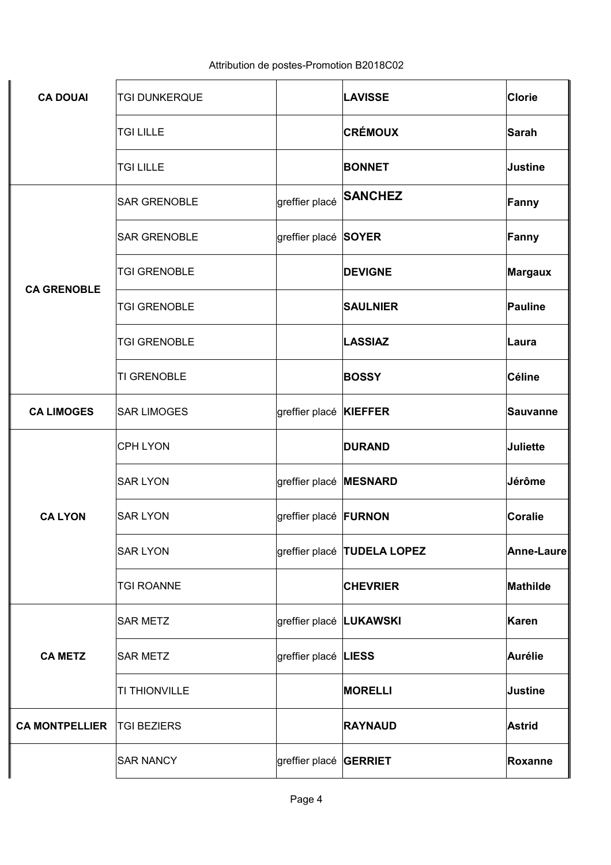| <b>CA DOUAI</b>       | <b>TGI DUNKERQUE</b> |                              | <b>LAVISSE</b>                     | Clorie          |
|-----------------------|----------------------|------------------------------|------------------------------------|-----------------|
|                       | <b>TGI LILLE</b>     |                              | <b>CRÉMOUX</b>                     | Sarah           |
|                       | <b>TGI LILLE</b>     |                              | <b>BONNET</b>                      | Justine         |
|                       | <b>SAR GRENOBLE</b>  | greffier placé               | <b>SANCHEZ</b>                     | Fanny           |
|                       | <b>SAR GRENOBLE</b>  | greffier placé SOYER         |                                    | Fanny           |
|                       | <b>TGI GRENOBLE</b>  |                              | <b>DEVIGNE</b>                     | <b>Margaux</b>  |
| <b>CA GRENOBLE</b>    | <b>TGI GRENOBLE</b>  |                              | <b>SAULNIER</b>                    | Pauline         |
|                       | <b>TGI GRENOBLE</b>  |                              | <b>LASSIAZ</b>                     | ∣Laura          |
|                       | TI GRENOBLE          |                              | <b>BOSSY</b>                       | Céline          |
| <b>CA LIMOGES</b>     | <b>SAR LIMOGES</b>   | greffier placé KIEFFER       |                                    | <b>Sauvanne</b> |
|                       | <b>CPH LYON</b>      |                              | <b>DURAND</b>                      | <b>Juliette</b> |
|                       | <b>SAR LYON</b>      | greffier placé MESNARD       |                                    | Jérôme          |
| <b>CALYON</b>         | <b>SAR LYON</b>      | greffier placé <b>FURNON</b> |                                    | Coralie         |
|                       | <b>SAR LYON</b>      |                              | greffier placé <b>TUDELA LOPEZ</b> | Anne-Laure      |
|                       | <b>TGI ROANNE</b>    |                              | <b>CHEVRIER</b>                    | Mathilde        |
|                       | <b>SAR METZ</b>      | greffier placé LUKAWSKI      |                                    | Karen           |
| <b>CA METZ</b>        | <b>SAR METZ</b>      | greffier placé LIESS         |                                    | Aurélie         |
|                       | TI THIONVILLE        |                              | <b>MORELLI</b>                     | <b>Justine</b>  |
| <b>CA MONTPELLIER</b> | <b>TGI BEZIERS</b>   |                              | <b>RAYNAUD</b>                     | <b>Astrid</b>   |
|                       | <b>SAR NANCY</b>     | greffier placé GERRIET       |                                    | Roxanne         |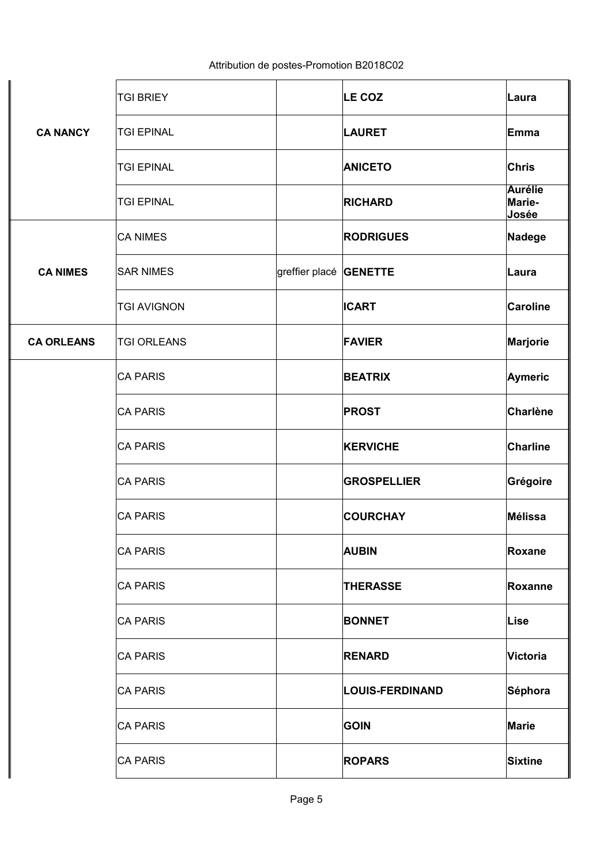|                   | <b>TGI BRIEY</b>   |                | LE COZ                 | Laura                             |
|-------------------|--------------------|----------------|------------------------|-----------------------------------|
| <b>CA NANCY</b>   | <b>TGI EPINAL</b>  |                | <b>LAURET</b>          | Emma                              |
|                   | <b>TGI EPINAL</b>  |                | <b>ANICETO</b>         | <b>Chris</b>                      |
|                   | <b>TGI EPINAL</b>  |                | <b>RICHARD</b>         | <b>Aurélie</b><br>Marie-<br>Josée |
|                   | <b>CA NIMES</b>    |                | <b>RODRIGUES</b>       | Nadege                            |
| <b>CA NIMES</b>   | <b>SAR NIMES</b>   | greffier placé | <b>GENETTE</b>         | Laura                             |
|                   | <b>TGI AVIGNON</b> |                | <b>ICART</b>           | <b>Caroline</b>                   |
| <b>CA ORLEANS</b> | <b>TGI ORLEANS</b> |                | <b>FAVIER</b>          | Marjorie                          |
|                   | <b>CA PARIS</b>    |                | <b>BEATRIX</b>         | <b>Aymeric</b>                    |
|                   | <b>CA PARIS</b>    |                | <b>PROST</b>           | <b>Charlène</b>                   |
|                   | <b>CA PARIS</b>    |                | <b>KERVICHE</b>        | <b>Charline</b>                   |
|                   | <b>CA PARIS</b>    |                | <b>GROSPELLIER</b>     | Grégoire                          |
|                   | <b>CA PARIS</b>    |                | <b>COURCHAY</b>        | <b>Mélissa</b>                    |
|                   | <b>CA PARIS</b>    |                | <b>AUBIN</b>           | Roxane                            |
|                   | <b>CA PARIS</b>    |                | <b>THERASSE</b>        | Roxanne                           |
|                   | <b>CA PARIS</b>    |                | <b>BONNET</b>          | Lise                              |
|                   | <b>CA PARIS</b>    |                | <b>RENARD</b>          | Victoria                          |
|                   | <b>CA PARIS</b>    |                | <b>LOUIS-FERDINAND</b> | Séphora                           |
|                   | <b>CA PARIS</b>    |                | <b>GOIN</b>            | <b>Marie</b>                      |
|                   | <b>CA PARIS</b>    |                | <b>ROPARS</b>          | <b>Sixtine</b>                    |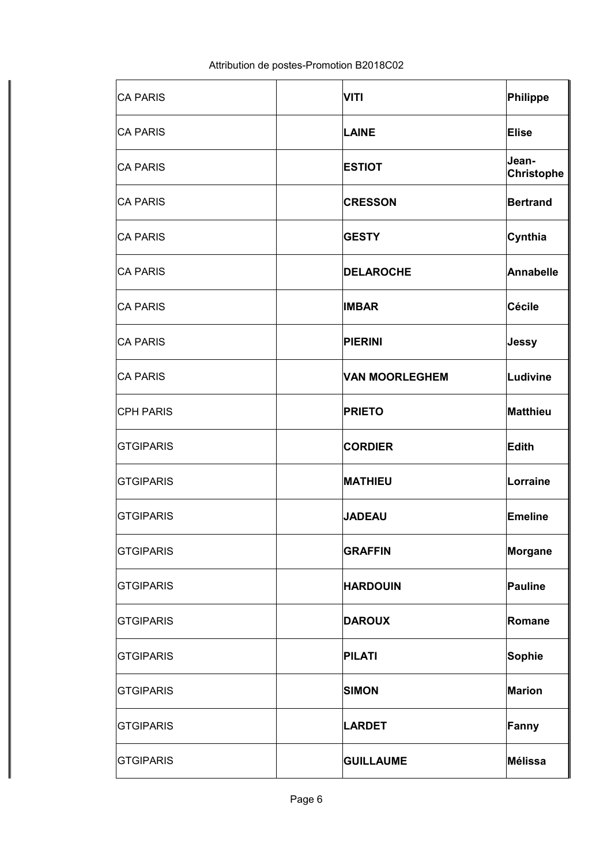| <b>CA PARIS</b>  | <b>VITI</b>           | Philippe                   |
|------------------|-----------------------|----------------------------|
| <b>CA PARIS</b>  | <b>LAINE</b>          | Elise                      |
| <b>CA PARIS</b>  | <b>ESTIOT</b>         | Jean-<br><b>Christophe</b> |
| <b>CA PARIS</b>  | <b>CRESSON</b>        | <b>Bertrand</b>            |
| <b>CA PARIS</b>  | <b>GESTY</b>          | Cynthia                    |
| <b>CA PARIS</b>  | <b>DELAROCHE</b>      | <b>Annabelle</b>           |
| <b>CA PARIS</b>  | <b>IMBAR</b>          | Cécile                     |
| <b>CA PARIS</b>  | <b>PIERINI</b>        | Jessy                      |
| <b>CA PARIS</b>  | <b>VAN MOORLEGHEM</b> | Ludivine                   |
| <b>CPH PARIS</b> | <b>PRIETO</b>         | Matthieu                   |
| <b>GTGIPARIS</b> | <b>CORDIER</b>        | Edith                      |
| <b>GTGIPARIS</b> | <b>MATHIEU</b>        | Lorraine                   |
| <b>GTGIPARIS</b> | <b>JADEAU</b>         | Emeline                    |
| <b>GTGIPARIS</b> | <b>GRAFFIN</b>        | Morgane                    |
| <b>GTGIPARIS</b> | <b>HARDOUIN</b>       | Pauline                    |
| <b>GTGIPARIS</b> | <b>DAROUX</b>         | Romane                     |
| <b>GTGIPARIS</b> | <b>PILATI</b>         | Sophie                     |
| <b>GTGIPARIS</b> | <b>SIMON</b>          | <b>Marion</b>              |
| <b>GTGIPARIS</b> | <b>LARDET</b>         | Fanny                      |
| <b>GTGIPARIS</b> | <b>GUILLAUME</b>      | Mélissa                    |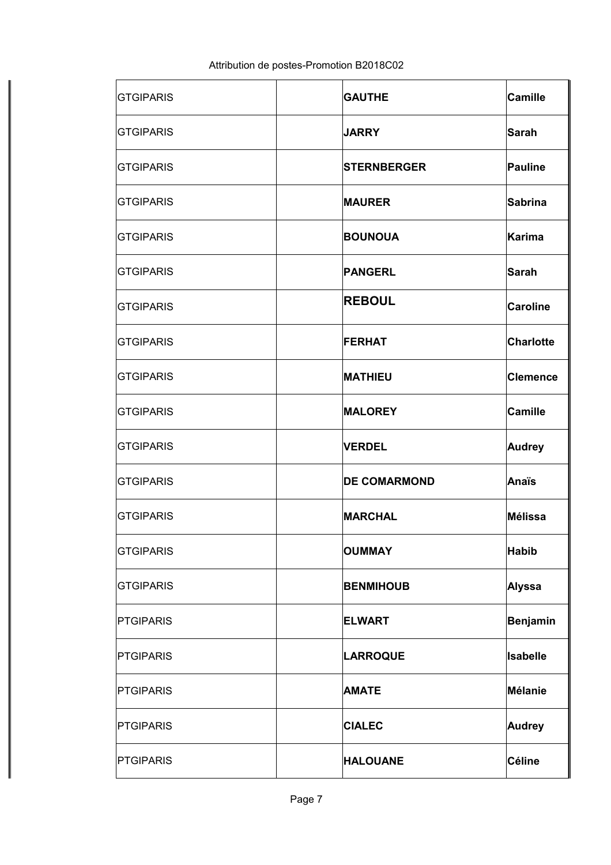| <b>GTGIPARIS</b> | <b>GAUTHE</b>       | Camille          |
|------------------|---------------------|------------------|
| <b>GTGIPARIS</b> | <b>JARRY</b>        | Sarah            |
| <b>GTGIPARIS</b> | <b>STERNBERGER</b>  | Pauline          |
| <b>GTGIPARIS</b> | <b>MAURER</b>       | Sabrina          |
| <b>GTGIPARIS</b> | <b>BOUNOUA</b>      | Karima           |
| <b>GTGIPARIS</b> | <b>PANGERL</b>      | Sarah            |
| <b>GTGIPARIS</b> | <b>REBOUL</b>       | <b>Caroline</b>  |
| <b>GTGIPARIS</b> | <b>FERHAT</b>       | <b>Charlotte</b> |
| <b>GTGIPARIS</b> | <b>MATHIEU</b>      | <b>Clemence</b>  |
| <b>GTGIPARIS</b> | <b>MALOREY</b>      | Camille          |
| <b>GTGIPARIS</b> | <b>VERDEL</b>       | <b>Audrey</b>    |
| <b>GTGIPARIS</b> | <b>DE COMARMOND</b> | Anaïs            |
| <b>GTGIPARIS</b> | <b>MARCHAL</b>      | Mélissa          |
| <b>GTGIPARIS</b> | <b>OUMMAY</b>       | <b>Habib</b>     |
| <b>GTGIPARIS</b> | <b>BENMIHOUB</b>    | Alyssa           |
| <b>PTGIPARIS</b> | <b>ELWART</b>       | Benjamin         |
| <b>PTGIPARIS</b> | <b>LARROQUE</b>     | <b>Isabelle</b>  |
| <b>PTGIPARIS</b> | <b>AMATE</b>        | Mélanie          |
| <b>PTGIPARIS</b> | <b>CIALEC</b>       | <b>Audrey</b>    |
| <b>PTGIPARIS</b> | <b>HALOUANE</b>     | <b>Céline</b>    |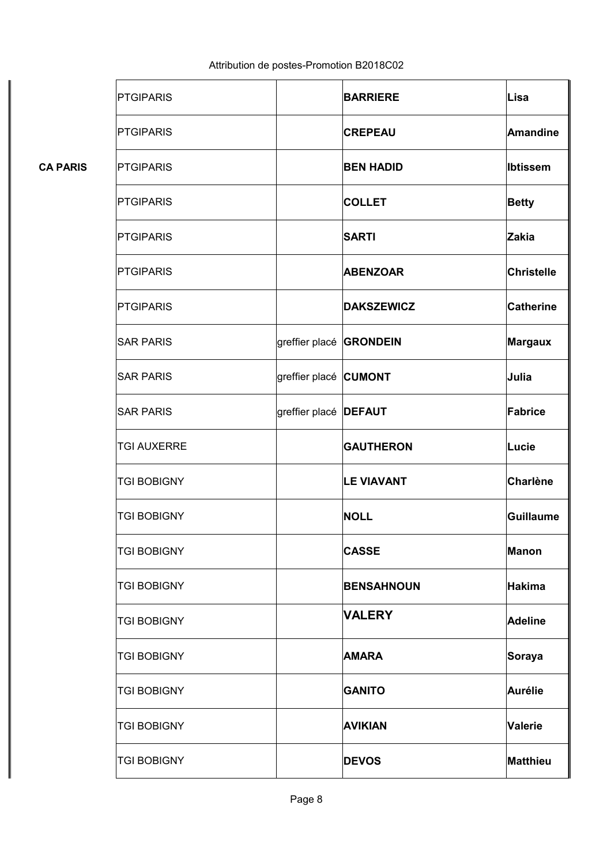|                 | <b>PTGIPARIS</b>   |                              | <b>BARRIERE</b>   | Lisa              |
|-----------------|--------------------|------------------------------|-------------------|-------------------|
|                 | <b>PTGIPARIS</b>   |                              | <b>CREPEAU</b>    | <b>Amandine</b>   |
| <b>CA PARIS</b> | <b>PTGIPARIS</b>   |                              | <b>BEN HADID</b>  | <b>Ibtissem</b>   |
|                 | <b>PTGIPARIS</b>   |                              | <b>COLLET</b>     | <b>Betty</b>      |
|                 | <b>PTGIPARIS</b>   |                              | <b>SARTI</b>      | <b>Zakia</b>      |
|                 | <b>PTGIPARIS</b>   |                              | <b>ABENZOAR</b>   | <b>Christelle</b> |
|                 | <b>PTGIPARIS</b>   |                              | <b>DAKSZEWICZ</b> | <b>Catherine</b>  |
|                 | <b>SAR PARIS</b>   | greffier placé               | <b>GRONDEIN</b>   | <b>Margaux</b>    |
|                 | <b>SAR PARIS</b>   | greffier placé CUMONT        |                   | Julia             |
|                 | <b>SAR PARIS</b>   | greffier placé <b>DEFAUT</b> |                   | Fabrice           |
|                 | <b>TGI AUXERRE</b> |                              | <b>GAUTHERON</b>  | Lucie             |
|                 | <b>TGI BOBIGNY</b> |                              | <b>LE VIAVANT</b> | <b>Charlène</b>   |
|                 | <b>TGI BOBIGNY</b> |                              | <b>NOLL</b>       | <b>Guillaume</b>  |
|                 | <b>TGI BOBIGNY</b> |                              | <b>CASSE</b>      | <b>Manon</b>      |
|                 | <b>TGI BOBIGNY</b> |                              | <b>BENSAHNOUN</b> | <b>Hakima</b>     |
|                 | <b>TGI BOBIGNY</b> |                              | <b>VALERY</b>     | <b>Adeline</b>    |
|                 | <b>TGI BOBIGNY</b> |                              | <b>AMARA</b>      | Soraya            |
|                 | <b>TGI BOBIGNY</b> |                              | <b>GANITO</b>     | <b>Aurélie</b>    |
|                 | <b>TGI BOBIGNY</b> |                              | <b>AVIKIAN</b>    | <b>Valerie</b>    |
|                 | <b>TGI BOBIGNY</b> |                              | <b>DEVOS</b>      | <b>Matthieu</b>   |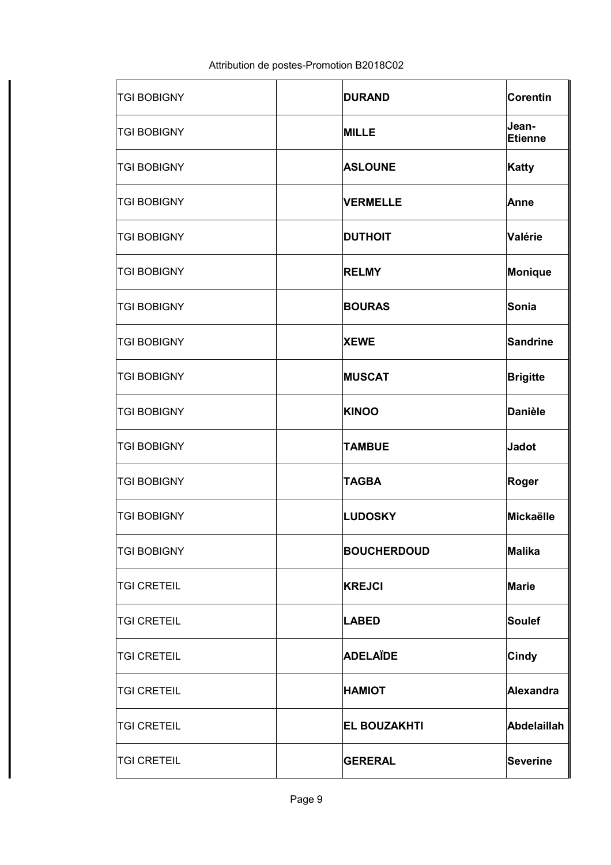| <b>TGI BOBIGNY</b> | <b>DURAND</b>       | Corentin           |
|--------------------|---------------------|--------------------|
| <b>TGI BOBIGNY</b> | <b>MILLE</b>        | Jean-<br>Etienne   |
| <b>TGI BOBIGNY</b> | <b>ASLOUNE</b>      | Katty              |
| <b>TGI BOBIGNY</b> | <b>VERMELLE</b>     | Anne               |
| <b>TGI BOBIGNY</b> | <b>DUTHOIT</b>      | Valérie            |
| <b>TGI BOBIGNY</b> | <b>RELMY</b>        | Monique            |
| <b>TGI BOBIGNY</b> | <b>BOURAS</b>       | Sonia              |
| <b>TGI BOBIGNY</b> | <b>XEWE</b>         | <b>Sandrine</b>    |
| <b>TGI BOBIGNY</b> | <b>MUSCAT</b>       | <b>Brigitte</b>    |
| <b>TGI BOBIGNY</b> | <b>KINOO</b>        | <b>Danièle</b>     |
| <b>TGI BOBIGNY</b> | <b>TAMBUE</b>       | <b>Jadot</b>       |
| <b>TGI BOBIGNY</b> | <b>TAGBA</b>        | Roger              |
| <b>TGI BOBIGNY</b> | <b>LUDOSKY</b>      | Mickaëlle          |
| <b>TGI BOBIGNY</b> | <b>BOUCHERDOUD</b>  | <b>Malika</b>      |
| <b>TGI CRETEIL</b> | <b>KREJCI</b>       | Marie              |
| <b>TGI CRETEIL</b> | <b>LABED</b>        | <b>Soulef</b>      |
| <b>TGI CRETEIL</b> | <b>ADELAÏDE</b>     | <b>Cindy</b>       |
| <b>TGI CRETEIL</b> | <b>HAMIOT</b>       | Alexandra          |
| <b>TGI CRETEIL</b> | <b>EL BOUZAKHTI</b> | <b>Abdelaillah</b> |
| <b>TGI CRETEIL</b> | <b>GERERAL</b>      | <b>Severine</b>    |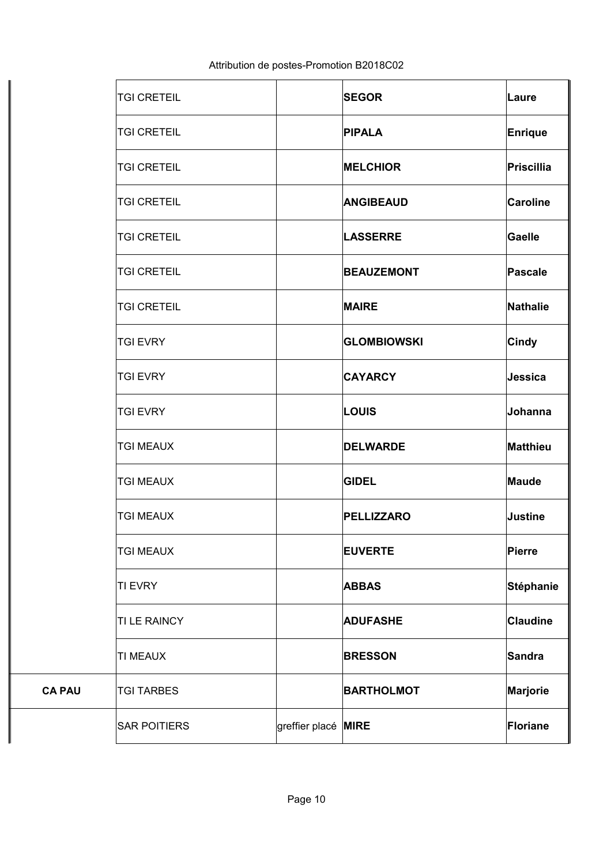|               | <b>TGI CRETEIL</b>  |                     | <b>SEGOR</b>       | Laure            |
|---------------|---------------------|---------------------|--------------------|------------------|
|               | <b>TGI CRETEIL</b>  |                     | <b>PIPALA</b>      | Enrique          |
|               | <b>TGI CRETEIL</b>  |                     | <b>MELCHIOR</b>    | Priscillia       |
|               | <b>TGI CRETEIL</b>  |                     | <b>ANGIBEAUD</b>   | <b>Caroline</b>  |
|               | <b>TGI CRETEIL</b>  |                     | <b>LASSERRE</b>    | Gaelle           |
|               | <b>TGI CRETEIL</b>  |                     | <b>BEAUZEMONT</b>  | Pascale          |
|               | <b>TGI CRETEIL</b>  |                     | <b>MAIRE</b>       | Nathalie         |
|               | <b>TGI EVRY</b>     |                     | <b>GLOMBIOWSKI</b> | <b>Cindy</b>     |
|               | <b>TGI EVRY</b>     |                     | <b>CAYARCY</b>     | Jessica          |
|               | <b>TGI EVRY</b>     |                     | <b>LOUIS</b>       | Johanna          |
|               | <b>TGI MEAUX</b>    |                     | <b>DELWARDE</b>    | Matthieu         |
|               | <b>TGI MEAUX</b>    |                     | <b>GIDEL</b>       | Maude            |
|               | <b>TGI MEAUX</b>    |                     | <b>PELLIZZARO</b>  | <b>Justine</b>   |
|               | <b>TGI MEAUX</b>    |                     | <b>EUVERTE</b>     | Pierre           |
|               | <b>TI EVRY</b>      |                     | <b>ABBAS</b>       | <b>Stéphanie</b> |
|               | TI LE RAINCY        |                     | <b>ADUFASHE</b>    | <b>Claudine</b>  |
|               | <b>TI MEAUX</b>     |                     | <b>BRESSON</b>     | Sandra           |
| <b>CA PAU</b> | <b>TGI TARBES</b>   |                     | <b>BARTHOLMOT</b>  | Marjorie         |
|               | <b>SAR POITIERS</b> | greffier placé MIRE |                    | Floriane         |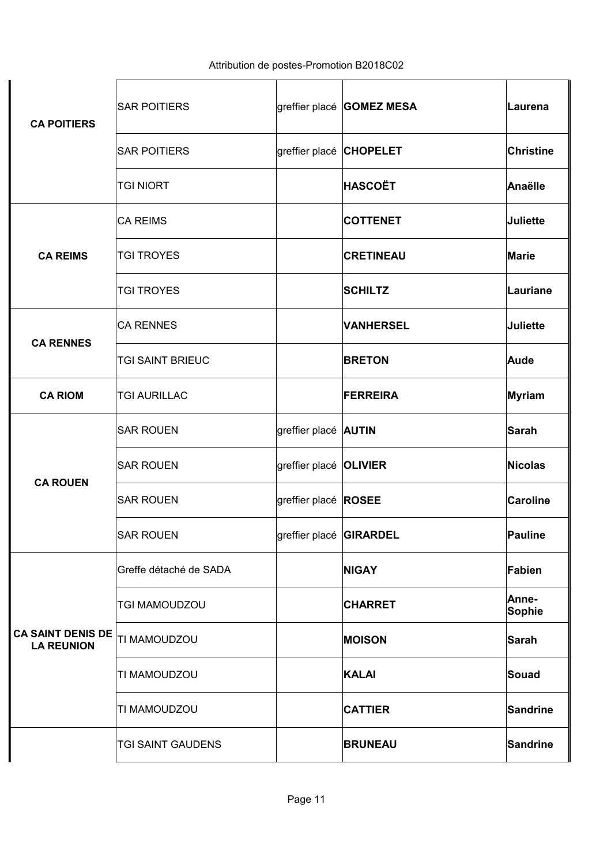| <b>CA POITIERS</b>                            | <b>SAR POITIERS</b>    |                               | greffier placé GOMEZ MESA | ∣Laurena        |
|-----------------------------------------------|------------------------|-------------------------------|---------------------------|-----------------|
|                                               | <b>SAR POITIERS</b>    | greffier placé CHOPELET       |                           | Christine       |
|                                               | <b>TGI NIORT</b>       |                               | <b>HASCOËT</b>            | Anaëlle         |
|                                               | <b>CA REIMS</b>        |                               | <b>COTTENET</b>           | Juliette        |
| <b>CA REIMS</b>                               | <b>TGI TROYES</b>      |                               | <b>CRETINEAU</b>          | Marie           |
|                                               | <b>TGI TROYES</b>      |                               | <b>SCHILTZ</b>            | Lauriane        |
|                                               | <b>CA RENNES</b>       |                               | <b>VANHERSEL</b>          | Juliette        |
| <b>CA RENNES</b>                              | TGI SAINT BRIEUC       |                               | <b>BRETON</b>             | Aude            |
| <b>CA RIOM</b>                                | <b>TGI AURILLAC</b>    |                               | <b>FERREIRA</b>           | Myriam          |
|                                               | <b>SAR ROUEN</b>       | greffier placé <b>AUTIN</b>   |                           | Sarah           |
| <b>CA ROUEN</b>                               | <b>SAR ROUEN</b>       | greffier placé <b>OLIVIER</b> |                           | Nicolas         |
|                                               | <b>SAR ROUEN</b>       | greffier placé ROSEE          |                           | <b>Caroline</b> |
|                                               | <b>SAR ROUEN</b>       | greffier placé GIRARDEL       |                           | Pauline         |
|                                               | Greffe détaché de SADA |                               | <b>NIGAY</b>              | Fabien          |
|                                               | <b>TGI MAMOUDZOU</b>   |                               | <b>CHARRET</b>            | Anne-<br>Sophie |
| <b>CA SAINT DENIS DE</b><br><b>LA REUNION</b> | <b>TI MAMOUDZOU</b>    |                               | <b>MOISON</b>             | Sarah           |
|                                               | <b>TI MAMOUDZOU</b>    |                               | <b>KALAI</b>              | Souad           |
|                                               | TI MAMOUDZOU           |                               | <b>CATTIER</b>            | Sandrine        |
|                                               | TGI SAINT GAUDENS      |                               | <b>BRUNEAU</b>            | Sandrine        |

 $\ddot{\phantom{a}}$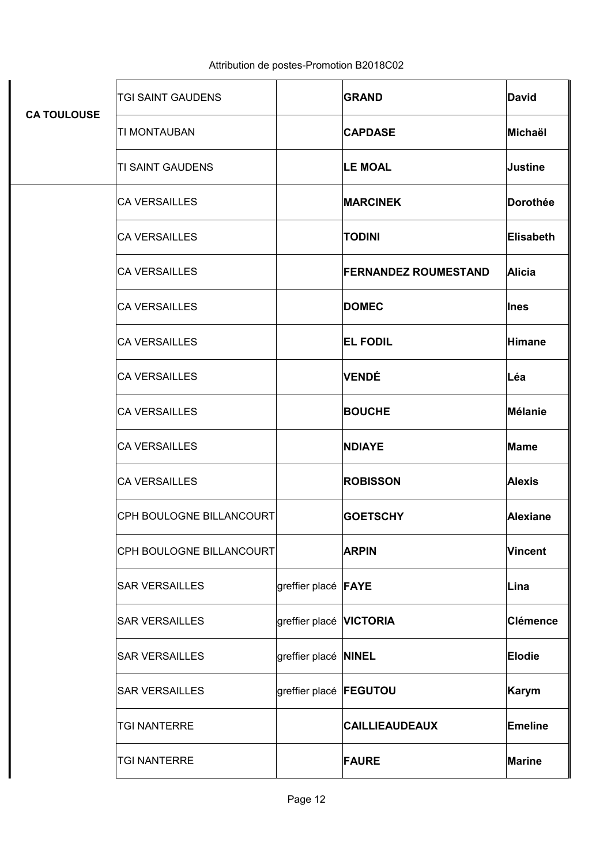|                    | TGI SAINT GAUDENS        |                                | <b>GRAND</b>                | <b>David</b>    |
|--------------------|--------------------------|--------------------------------|-----------------------------|-----------------|
| <b>CA TOULOUSE</b> | TI MONTAUBAN             |                                | <b>CAPDASE</b>              | Michaël         |
|                    | <b>TI SAINT GAUDENS</b>  |                                | <b>LE MOAL</b>              | Justine         |
|                    | <b>CA VERSAILLES</b>     |                                | <b>MARCINEK</b>             | <b>Dorothée</b> |
|                    | <b>CA VERSAILLES</b>     |                                | <b>TODINI</b>               | Elisabeth       |
|                    | <b>CA VERSAILLES</b>     |                                | <b>FERNANDEZ ROUMESTAND</b> | Alicia          |
|                    | <b>CA VERSAILLES</b>     |                                | <b>DOMEC</b>                | <b>I</b> nes    |
|                    | <b>CA VERSAILLES</b>     |                                | <b>EL FODIL</b>             | <b>Himane</b>   |
|                    | <b>CA VERSAILLES</b>     |                                | <b>VENDÉ</b>                | Léa             |
|                    | <b>CA VERSAILLES</b>     |                                | <b>BOUCHE</b>               | Mélanie         |
|                    | <b>CA VERSAILLES</b>     |                                | <b>NDIAYE</b>               | Mame            |
|                    | <b>CA VERSAILLES</b>     |                                | <b>ROBISSON</b>             | <b>Alexis</b>   |
|                    | CPH BOULOGNE BILLANCOURT |                                | <b>GOETSCHY</b>             | <b>Alexiane</b> |
|                    | CPH BOULOGNE BILLANCOURT |                                | <b>ARPIN</b>                | Vincent         |
|                    | <b>SAR VERSAILLES</b>    | greffier placé <b>FAYE</b>     |                             | Lina            |
|                    | <b>SAR VERSAILLES</b>    | greffier placé <b>VICTORIA</b> |                             | <b>Clémence</b> |
|                    | <b>SAR VERSAILLES</b>    | greffier placé NINEL           |                             | <b>Elodie</b>   |
|                    | <b>SAR VERSAILLES</b>    | greffier placé <b>FEGUTOU</b>  |                             | Karym           |
|                    | <b>TGI NANTERRE</b>      |                                | <b>CAILLIEAUDEAUX</b>       | <b>Emeline</b>  |
|                    | <b>TGI NANTERRE</b>      |                                | <b>FAURE</b>                | Marine          |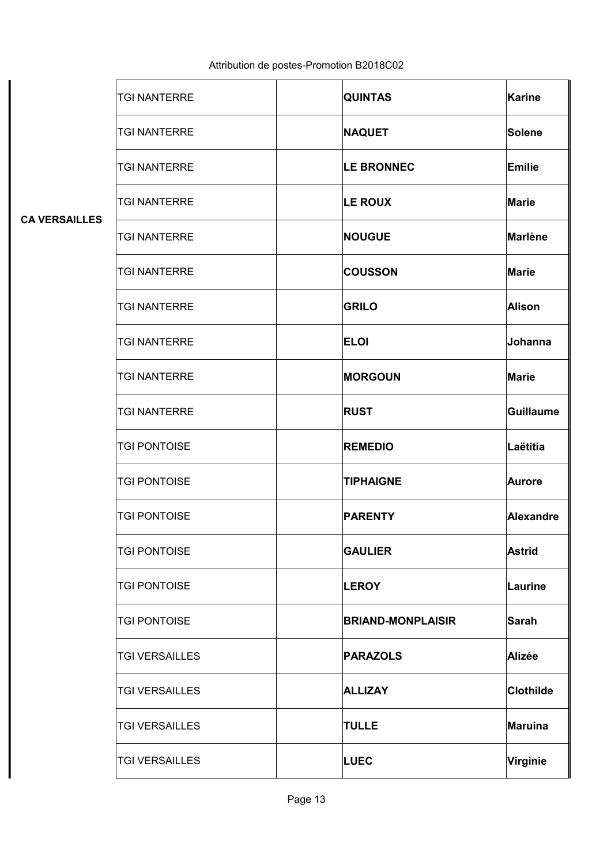|  | Attribution de postes-Promotion B2018C02 |  |
|--|------------------------------------------|--|
|--|------------------------------------------|--|

| <b>CA VERSAILLES</b> | <b>TGI NANTERRE</b>   | <b>QUINTAS</b>    |                          | <b>Karine</b>    |
|----------------------|-----------------------|-------------------|--------------------------|------------------|
|                      | <b>TGI NANTERRE</b>   | <b>NAQUET</b>     |                          | Solene           |
|                      | <b>TGI NANTERRE</b>   | <b>LE BRONNEC</b> |                          | Emilie           |
|                      | <b>TGI NANTERRE</b>   | <b>LE ROUX</b>    |                          | Marie            |
|                      | <b>TGI NANTERRE</b>   | <b>NOUGUE</b>     |                          | <b>Marlène</b>   |
|                      | <b>TGI NANTERRE</b>   | <b>COUSSON</b>    |                          | <b>Marie</b>     |
|                      | <b>TGI NANTERRE</b>   | <b>GRILO</b>      |                          | Alison           |
|                      | <b>TGI NANTERRE</b>   | <b>ELOI</b>       |                          | Johanna          |
|                      | <b>TGI NANTERRE</b>   | <b>MORGOUN</b>    |                          | <b>Marie</b>     |
|                      | <b>TGI NANTERRE</b>   | <b>RUST</b>       |                          | <b>Guillaume</b> |
|                      | <b>TGI PONTOISE</b>   | <b>REMEDIO</b>    |                          | Laëtitia         |
|                      | <b>TGI PONTOISE</b>   | <b>TIPHAIGNE</b>  |                          | <b>Aurore</b>    |
|                      | <b>TGI PONTOISE</b>   | <b>PARENTY</b>    |                          | Alexandre        |
|                      | <b>TGI PONTOISE</b>   | <b>GAULIER</b>    |                          | <b>Astrid</b>    |
|                      | <b>TGI PONTOISE</b>   | <b>LEROY</b>      |                          | Laurine          |
|                      | <b>TGI PONTOISE</b>   |                   | <b>BRIAND-MONPLAISIR</b> | <b>Sarah</b>     |
|                      | <b>TGI VERSAILLES</b> | <b>PARAZOLS</b>   |                          | Alizée           |
|                      | <b>TGI VERSAILLES</b> | <b>ALLIZAY</b>    |                          | <b>Clothilde</b> |
|                      | <b>TGI VERSAILLES</b> | <b>TULLE</b>      |                          | Maruina          |
|                      | <b>TGI VERSAILLES</b> | <b>LUEC</b>       |                          | Virginie         |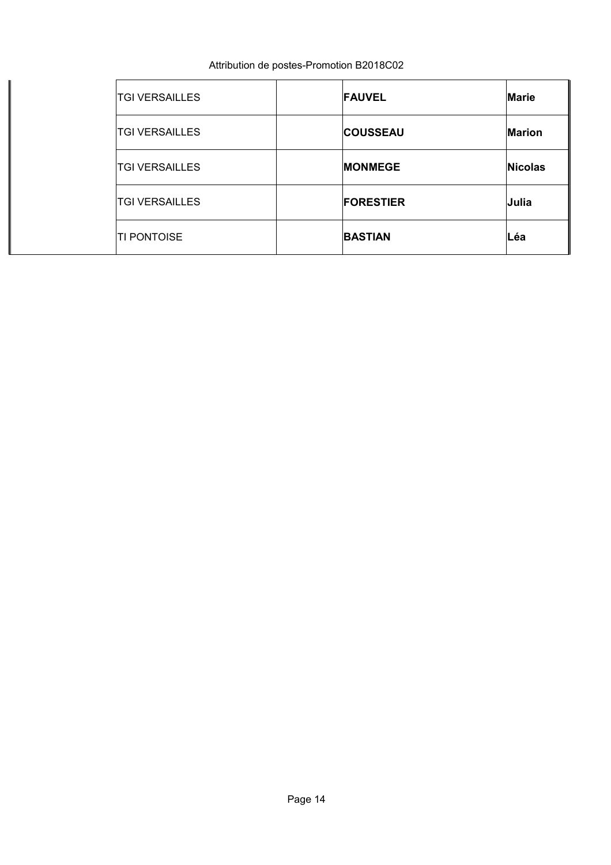| <b>TGI VERSAILLES</b> | <b>FAUVEL</b>    | <b>Marie</b>  |
|-----------------------|------------------|---------------|
| <b>TGI VERSAILLES</b> | <b>COUSSEAU</b>  | <b>Marion</b> |
| <b>TGI VERSAILLES</b> | <b>MONMEGE</b>   | Nicolas       |
| <b>TGI VERSAILLES</b> | <b>FORESTIER</b> | Julia         |
| <b>TI PONTOISE</b>    | <b>BASTIAN</b>   | Léa           |